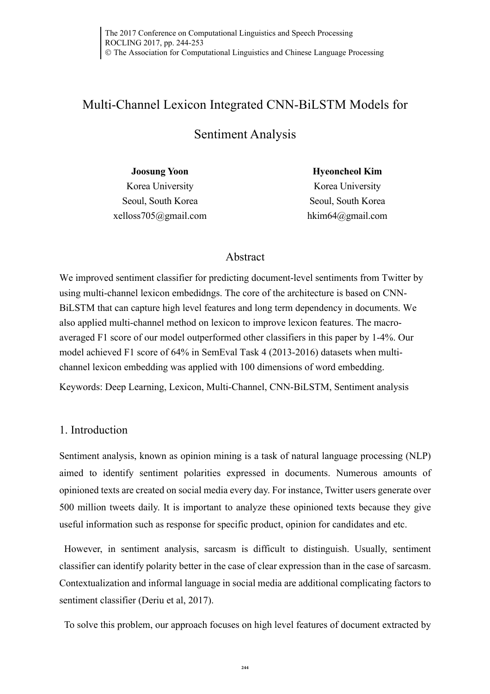# Multi-Channel Lexicon Integrated CNN-BiLSTM Models for

# Sentiment Analysis

**Joosung Yoon** Korea University Seoul, South Korea xelloss705@gmail.com **Hyeoncheol Kim** Korea University Seoul, South Korea hkim64@gmail.com

# Abstract

We improved sentiment classifier for predicting document-level sentiments from Twitter by using multi-channel lexicon embedidngs. The core of the architecture is based on CNN-BiLSTM that can capture high level features and long term dependency in documents. We also applied multi-channel method on lexicon to improve lexicon features. The macroaveraged F1 score of our model outperformed other classifiers in this paper by 1-4%. Our model achieved F1 score of 64% in SemEval Task 4 (2013-2016) datasets when multichannel lexicon embedding was applied with 100 dimensions of word embedding.

Keywords: Deep Learning, Lexicon, Multi-Channel, CNN-BiLSTM, Sentiment analysis

## 1. Introduction

Sentiment analysis, known as opinion mining is a task of natural language processing (NLP) aimed to identify sentiment polarities expressed in documents. Numerous amounts of opinioned texts are created on social media every day. For instance, Twitter users generate over 500 million tweets daily. It is important to analyze these opinioned texts because they give useful information such as response for specific product, opinion for candidates and etc.

However, in sentiment analysis, sarcasm is difficult to distinguish. Usually, sentiment classifier can identify polarity better in the case of clear expression than in the case of sarcasm. Contextualization and informal language in social media are additional complicating factors to sentiment classifier (Deriu et al, 2017).

To solve this problem, our approach focuses on high level features of document extracted by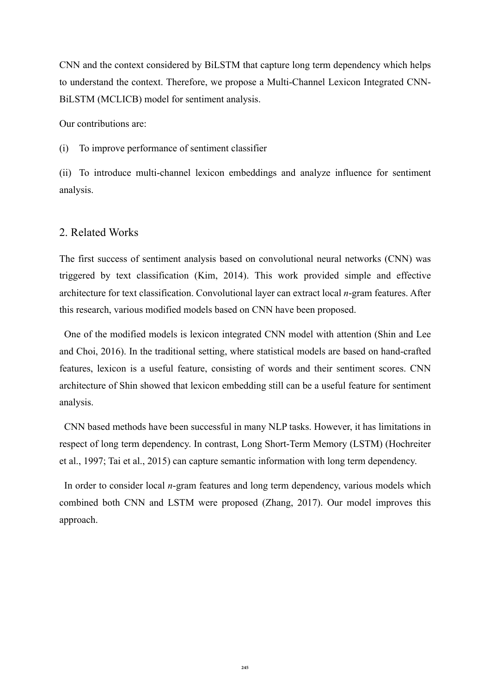CNN and the context considered by BiLSTM that capture long term dependency which helps to understand the context. Therefore, we propose a Multi-Channel Lexicon Integrated CNN-BiLSTM (MCLICB) model for sentiment analysis.

Our contributions are:

(i) To improve performance of sentiment classifier

(ii) To introduce multi-channel lexicon embeddings and analyze influence for sentiment analysis.

## 2. Related Works

The first success of sentiment analysis based on convolutional neural networks (CNN) was triggered by text classification (Kim, 2014). This work provided simple and effective architecture for text classification. Convolutional layer can extract local *n*-gram features. After this research, various modified models based on CNN have been proposed.

One of the modified models is lexicon integrated CNN model with attention (Shin and Lee and Choi, 2016). In the traditional setting, where statistical models are based on hand-crafted features, lexicon is a useful feature, consisting of words and their sentiment scores. CNN architecture of Shin showed that lexicon embedding still can be a useful feature for sentiment analysis.

CNN based methods have been successful in many NLP tasks. However, it has limitations in respect of long term dependency. In contrast, Long Short-Term Memory (LSTM) (Hochreiter et al., 1997; Tai et al., 2015) can capture semantic information with long term dependency.

In order to consider local *n*-gram features and long term dependency, various models which combined both CNN and LSTM were proposed (Zhang, 2017). Our model improves this approach.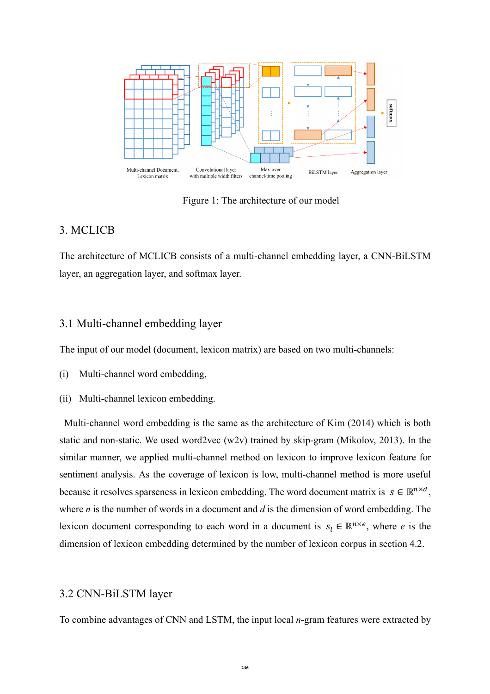

Figure 1: The architecture of our model

## 3. MCLICB

The architecture of MCLICB consists of a multi-channel embedding layer, a CNN-BiLSTM layer, an aggregation layer, and softmax layer.

## 3.1 Multi-channel embedding layer

The input of our model (document, lexicon matrix) are based on two multi-channels:

- (i) Multi-channel word embedding,
- (ii) Multi-channel lexicon embedding.

Multi-channel word embedding is the same as the architecture of Kim (2014) which is both static and non-static. We used word2vec (w2v) trained by skip-gram (Mikolov, 2013). In the similar manner, we applied multi-channel method on lexicon to improve lexicon feature for sentiment analysis. As the coverage of lexicon is low, multi-channel method is more useful because it resolves sparseness in lexicon embedding. The word document matrix is  $s \in \mathbb{R}^{n \times d}$ , where *n* is the number of words in a document and *d* is the dimension of word embedding. The lexicon document corresponding to each word in a document is  $s_i \in \mathbb{R}^{n \times e}$ , where *e* is the dimension of lexicon embedding determined by the number of lexicon corpus in section 4.2.

#### 3.2 CNN-BiLSTM layer

To combine advantages of CNN and LSTM, the input local *n*-gram features were extracted by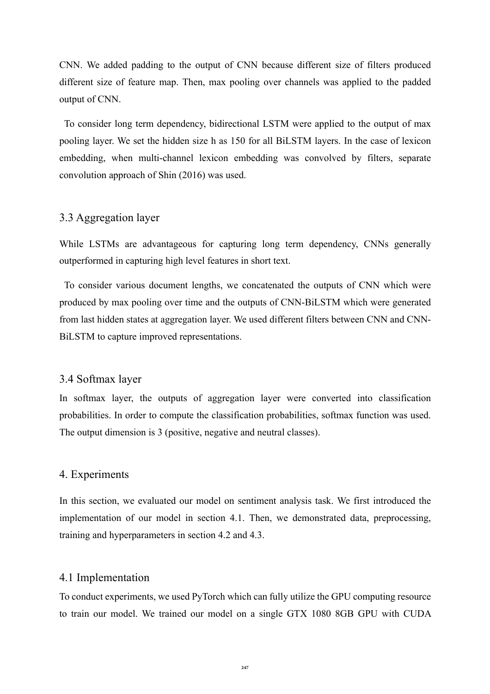CNN. We added padding to the output of CNN because different size of filters produced different size of feature map. Then, max pooling over channels was applied to the padded output of CNN.

To consider long term dependency, bidirectional LSTM were applied to the output of max pooling layer. We set the hidden size h as 150 for all BiLSTM layers. In the case of lexicon embedding, when multi-channel lexicon embedding was convolved by filters, separate convolution approach of Shin (2016) was used.

#### 3.3 Aggregation layer

While LSTMs are advantageous for capturing long term dependency, CNNs generally outperformed in capturing high level features in short text.

To consider various document lengths, we concatenated the outputs of CNN which were produced by max pooling over time and the outputs of CNN-BiLSTM which were generated from last hidden states at aggregation layer. We used different filters between CNN and CNN-BiLSTM to capture improved representations.

#### 3.4 Softmax layer

In softmax layer, the outputs of aggregation layer were converted into classification probabilities. In order to compute the classification probabilities, softmax function was used. The output dimension is 3 (positive, negative and neutral classes).

### 4. Experiments

In this section, we evaluated our model on sentiment analysis task. We first introduced the implementation of our model in section 4.1. Then, we demonstrated data, preprocessing, training and hyperparameters in section 4.2 and 4.3.

#### 4.1 Implementation

To conduct experiments, we used PyTorch which can fully utilize the GPU computing resource to train our model. We trained our model on a single GTX 1080 8GB GPU with CUDA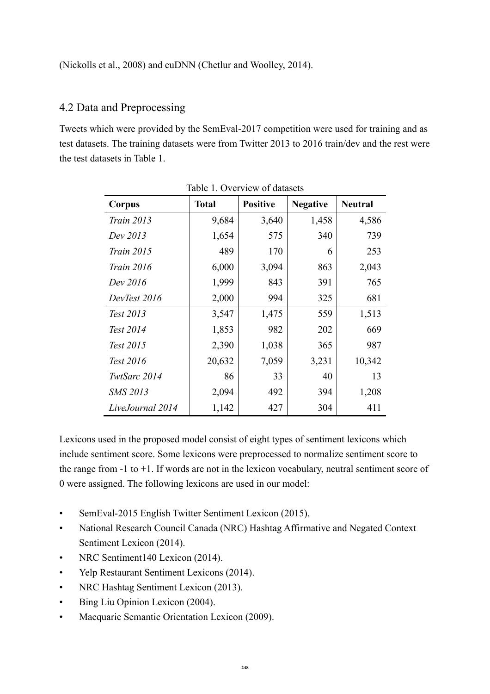# 4.2 Data and Preprocessing

Tweets which were provided by the SemEval-2017 competition were used for training and as test datasets. The training datasets were from Twitter 2013 to 2016 train/dev and the rest were the test datasets in Table 1.

| Corpus            | <b>Total</b> | <b>Positive</b> | <b>Negative</b> | <b>Neutral</b> |  |
|-------------------|--------------|-----------------|-----------------|----------------|--|
| <i>Train 2013</i> | 9,684        | 3,640           | 1,458           | 4,586          |  |
| Dev 2013          | 1,654        | 575             | 340             | 739            |  |
| <i>Train 2015</i> | 489          | 170             | 6               | 253            |  |
| <i>Train 2016</i> | 6,000        | 3,094           | 863             | 2,043          |  |
| Dev 2016          | 1,999        | 843             | 391             | 765            |  |
| DevTest 2016      | 2,000        | 994             | 325             | 681            |  |
| Test 2013         | 3,547        | 1,475           | 559             | 1,513          |  |
| Test 2014         | 1,853        | 982             | 202             | 669            |  |
| Test 2015         | 2,390        | 1,038           | 365             | 987            |  |
| Test 2016         | 20,632       | 7,059           | 3,231           | 10,342         |  |
| TwtSarc 2014      | 86           | 33              | 40              | 13             |  |
| <b>SMS 2013</b>   | 2,094        | 492             | 394             | 1,208          |  |
| LiveJournal 2014  | 1,142        | 427             | 304             | 411            |  |

Table 1. Overview of datasets

Lexicons used in the proposed model consist of eight types of sentiment lexicons which include sentiment score. Some lexicons were preprocessed to normalize sentiment score to the range from -1 to +1. If words are not in the lexicon vocabulary, neutral sentiment score of 0 were assigned. The following lexicons are used in our model:

- SemEval-2015 English Twitter Sentiment Lexicon (2015).
- National Research Council Canada (NRC) Hashtag Affirmative and Negated Context Sentiment Lexicon (2014).
- NRC Sentiment140 Lexicon (2014).
- Yelp Restaurant Sentiment Lexicons (2014).
- NRC Hashtag Sentiment Lexicon (2013).
- Bing Liu Opinion Lexicon (2004).
- Macquarie Semantic Orientation Lexicon (2009).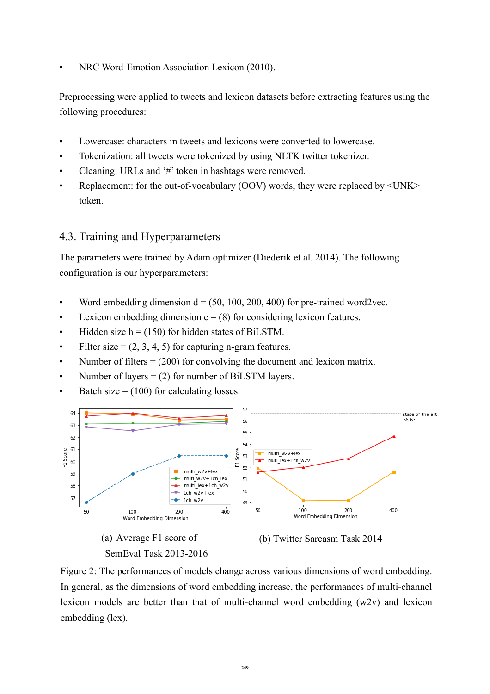• NRC Word-Emotion Association Lexicon (2010).

Preprocessing were applied to tweets and lexicon datasets before extracting features using the following procedures:

- Lowercase: characters in tweets and lexicons were converted to lowercase.
- Tokenization: all tweets were tokenized by using NLTK twitter tokenizer.
- Cleaning: URLs and '#' token in hashtags were removed.
- Replacement: for the out-of-vocabulary (OOV) words, they were replaced by  $\langle UNK \rangle$ token.

## 4.3. Training and Hyperparameters

The parameters were trained by Adam optimizer (Diederik et al. 2014). The following configuration is our hyperparameters:

- Word embedding dimension  $d = (50, 100, 200, 400)$  for pre-trained word2vec.
- Lexicon embedding dimension  $e = (8)$  for considering lexicon features.
- Hidden size  $h = (150)$  for hidden states of BiLSTM.
- Filter size =  $(2, 3, 4, 5)$  for capturing n-gram features.
- Number of filters  $= (200)$  for convolving the document and lexicon matrix.
- Number of layers =  $(2)$  for number of BiLSTM layers.
- Batch size  $= (100)$  for calculating losses.









Figure 2: The performances of models change across various dimensions of word embedding. In general, as the dimensions of word embedding increase, the performances of multi-channel lexicon models are better than that of multi-channel word embedding (w2v) and lexicon embedding (lex).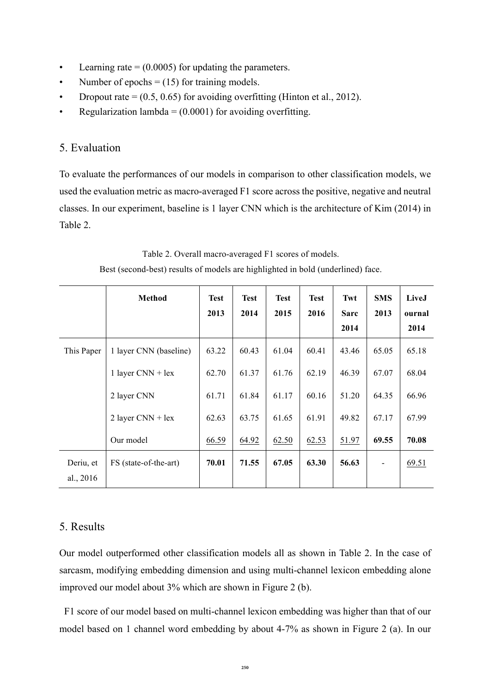- Learning rate  $= (0.0005)$  for updating the parameters.
- Number of epochs  $= (15)$  for training models.
- Dropout rate  $= (0.5, 0.65)$  for avoiding overfitting (Hinton et al., 2012).
- Regularization lambda =  $(0.0001)$  for avoiding overfitting.

## 5. Evaluation

To evaluate the performances of our models in comparison to other classification models, we used the evaluation metric as macro-averaged F1 score across the positive, negative and neutral classes. In our experiment, baseline is 1 layer CNN which is the architecture of Kim (2014) in Table 2.

Table 2. Overall macro-averaged F1 scores of models.

Best (second-best) results of models are highlighted in bold (underlined) face. Τ Τ Τ Τ **Method Test Test Test Test Twt SMS 2013 2014 2015 2016 Sarc 2013 2014**

|             | <b>Method</b>          | <b>Test</b> | <b>Test</b> | <b>Test</b> | <b>Test</b> | Twt   | <b>SMS</b> | LiveJ  |
|-------------|------------------------|-------------|-------------|-------------|-------------|-------|------------|--------|
|             |                        | 2013        | 2014        | 2015        | 2016        | Sarc  | 2013       | ournal |
|             |                        |             |             |             |             | 2014  |            | 2014   |
| This Paper  | 1 layer CNN (baseline) | 63.22       | 60.43       | 61.04       | 60.41       | 43.46 | 65.05      | 65.18  |
|             | 1 layer $CNN + lex$    | 62.70       | 61.37       | 61.76       | 62.19       | 46.39 | 67.07      | 68.04  |
|             | 2 layer CNN            | 61.71       | 61.84       | 61.17       | 60.16       | 51.20 | 64.35      | 66.96  |
|             | 2 layer $CNN + lex$    | 62.63       | 63.75       | 61.65       | 61.91       | 49.82 | 67.17      | 67.99  |
|             | Our model              | 66.59       | 64.92       | 62.50       | 62.53       | 51.97 | 69.55      | 70.08  |
| Deriu, et   | FS (state-of-the-art)  | 70.01       | 71.55       | 67.05       | 63.30       | 56.63 |            | 69.51  |
| al., $2016$ |                        |             |             |             |             |       |            |        |
|             |                        |             |             |             |             |       |            |        |

## 5. Results

Our model outperformed other classification models all as shown in Table 2. In the case of sarcasm, modifying embedding dimension and using multi-channel lexicon embedding alone improved our model about 3% which are shown in Figure 2 (b).

F1 score of our model based on multi-channel lexicon embedding was higher than that of our model based on 1 channel word embedding by about 4-7% as shown in Figure 2 (a). In our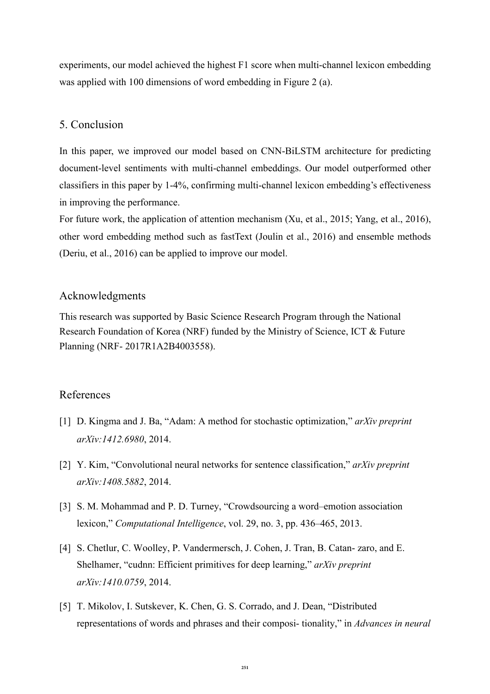experiments, our model achieved the highest F1 score when multi-channel lexicon embedding was applied with 100 dimensions of word embedding in Figure 2 (a).

## 5. Conclusion

In this paper, we improved our model based on CNN-BiLSTM architecture for predicting document-level sentiments with multi-channel embeddings. Our model outperformed other classifiers in this paper by 1-4%, confirming multi-channel lexicon embedding's effectiveness in improving the performance.

For future work, the application of attention mechanism (Xu, et al., 2015; Yang, et al., 2016), other word embedding method such as fastText (Joulin et al., 2016) and ensemble methods (Deriu, et al., 2016) can be applied to improve our model.

#### Acknowledgments

This research was supported by Basic Science Research Program through the National Research Foundation of Korea (NRF) funded by the Ministry of Science, ICT & Future Planning (NRF- 2017R1A2B4003558).

## References

- [1] D. Kingma and J. Ba, "Adam: A method for stochastic optimization," *arXiv preprint arXiv:1412.6980*, 2014.
- [2] Y. Kim, "Convolutional neural networks for sentence classification," *arXiv preprint arXiv:1408.5882*, 2014.
- [3] S. M. Mohammad and P. D. Turney, "Crowdsourcing a word–emotion association lexicon," *Computational Intelligence*, vol. 29, no. 3, pp. 436–465, 2013.
- [4] S. Chetlur, C. Woolley, P. Vandermersch, J. Cohen, J. Tran, B. Catan- zaro, and E. Shelhamer, "cudnn: Efficient primitives for deep learning," *arXiv preprint arXiv:1410.0759*, 2014.
- [5] T. Mikolov, I. Sutskever, K. Chen, G. S. Corrado, and J. Dean, "Distributed representations of words and phrases and their composi- tionality," in *Advances in neural*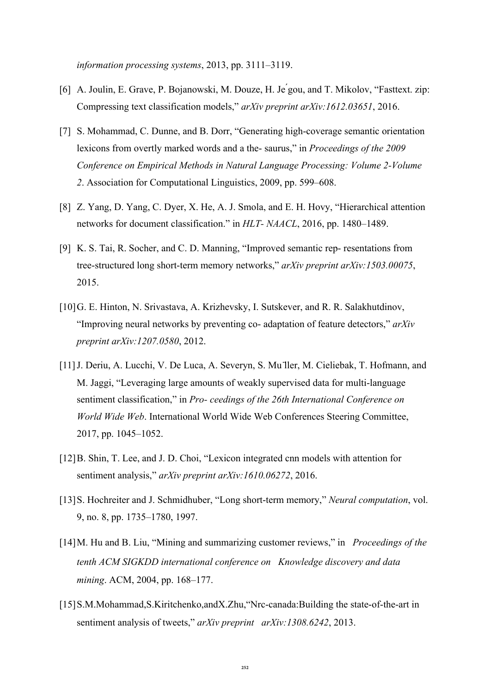*information processing systems*, 2013, pp. 3111–3119.

- [6] A. Joulin, E. Grave, P. Bojanowski, M. Douze, H. Je ́gou, and T. Mikolov, "Fasttext. zip: Compressing text classification models," *arXiv preprint arXiv:1612.03651*, 2016.
- [7] S. Mohammad, C. Dunne, and B. Dorr, "Generating high-coverage semantic orientation lexicons from overtly marked words and a the- saurus," in *Proceedings of the 2009 Conference on Empirical Methods in Natural Language Processing: Volume 2-Volume 2*. Association for Computational Linguistics, 2009, pp. 599–608.
- [8] Z. Yang, D. Yang, C. Dyer, X. He, A. J. Smola, and E. H. Hovy, "Hierarchical attention networks for document classification." in *HLT- NAACL*, 2016, pp. 1480–1489.
- [9] K. S. Tai, R. Socher, and C. D. Manning, "Improved semantic rep- resentations from tree-structured long short-term memory networks," *arXiv preprint arXiv:1503.00075*, 2015.
- [10]G. E. Hinton, N. Srivastava, A. Krizhevsky, I. Sutskever, and R. R. Salakhutdinov, "Improving neural networks by preventing co- adaptation of feature detectors," *arXiv preprint arXiv:1207.0580*, 2012.
- [11]J. Deriu, A. Lucchi, V. De Luca, A. Severyn, S. Mu ̈ller, M. Cieliebak, T. Hofmann, and M. Jaggi, "Leveraging large amounts of weakly supervised data for multi-language sentiment classification," in *Pro- ceedings of the 26th International Conference on World Wide Web*. International World Wide Web Conferences Steering Committee, 2017, pp. 1045–1052.
- [12]B. Shin, T. Lee, and J. D. Choi, "Lexicon integrated cnn models with attention for sentiment analysis," *arXiv preprint arXiv:1610.06272*, 2016.
- [13]S. Hochreiter and J. Schmidhuber, "Long short-term memory," *Neural computation*, vol. 9, no. 8, pp. 1735–1780, 1997.
- [14]M. Hu and B. Liu, "Mining and summarizing customer reviews," in *Proceedings of the tenth ACM SIGKDD international conference on Knowledge discovery and data mining*. ACM, 2004, pp. 168–177.
- [15]S.M.Mohammad,S.Kiritchenko,andX.Zhu,"Nrc-canada:Building the state-of-the-art in sentiment analysis of tweets," *arXiv preprint arXiv:1308.6242*, 2013.